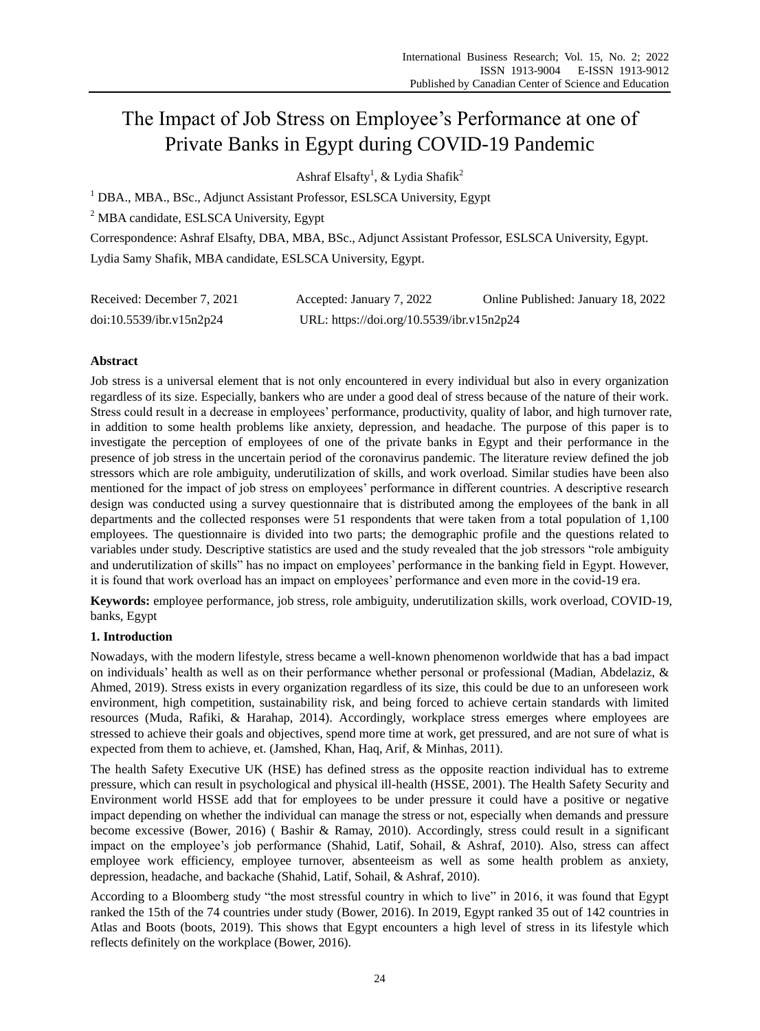# The Impact of Job Stress on Employee's Performance at one of Private Banks in Egypt during COVID-19 Pandemic

Ashraf Elsafty<sup>1</sup>, & Lydia Shafik<sup>2</sup>

<sup>1</sup> DBA., MBA., BSc., Adjunct Assistant Professor, ESLSCA University, Egypt

<sup>2</sup> MBA candidate, ESLSCA University, Egypt

Correspondence: Ashraf Elsafty, DBA, MBA, BSc., Adjunct Assistant Professor, ESLSCA University, Egypt. Lydia Samy Shafik, MBA candidate, ESLSCA University, Egypt.

| Received: December 7, 2021 | Accepted: January 7, 2022                 | Online Published: January 18, 2022 |
|----------------------------|-------------------------------------------|------------------------------------|
| doi:10.5539/ibr.v15n2p24   | URL: https://doi.org/10.5539/ibr.v15n2p24 |                                    |

## **Abstract**

Job stress is a universal element that is not only encountered in every individual but also in every organization regardless of its size. Especially, bankers who are under a good deal of stress because of the nature of their work. Stress could result in a decrease in employees' performance, productivity, quality of labor, and high turnover rate, in addition to some health problems like anxiety, depression, and headache. The purpose of this paper is to investigate the perception of employees of one of the private banks in Egypt and their performance in the presence of job stress in the uncertain period of the coronavirus pandemic. The literature review defined the job stressors which are role ambiguity, underutilization of skills, and work overload. Similar studies have been also mentioned for the impact of job stress on employees' performance in different countries. A descriptive research design was conducted using a survey questionnaire that is distributed among the employees of the bank in all departments and the collected responses were 51 respondents that were taken from a total population of 1,100 employees. The questionnaire is divided into two parts; the demographic profile and the questions related to variables under study. Descriptive statistics are used and the study revealed that the job stressors "role ambiguity and underutilization of skills" has no impact on employees' performance in the banking field in Egypt. However, it is found that work overload has an impact on employees' performance and even more in the covid-19 era.

**Keywords:** employee performance, job stress, role ambiguity, underutilization skills, work overload, COVID-19, banks, Egypt

## **1. Introduction**

Nowadays, with the modern lifestyle, stress became a well-known phenomenon worldwide that has a bad impact on individuals' health as well as on their performance whether personal or professional (Madian, Abdelaziz, & Ahmed, 2019). Stress exists in every organization regardless of its size, this could be due to an unforeseen work environment, high competition, sustainability risk, and being forced to achieve certain standards with limited resources (Muda, Rafiki, & Harahap, 2014). Accordingly, workplace stress emerges where employees are stressed to achieve their goals and objectives, spend more time at work, get pressured, and are not sure of what is expected from them to achieve, et. (Jamshed, Khan, Haq, Arif, & Minhas, 2011).

The health Safety Executive UK (HSE) has defined stress as the opposite reaction individual has to extreme pressure, which can result in psychological and physical ill-health (HSSE, 2001). The Health Safety Security and Environment world HSSE add that for employees to be under pressure it could have a positive or negative impact depending on whether the individual can manage the stress or not, especially when demands and pressure become excessive (Bower, 2016) ( Bashir & Ramay, 2010). Accordingly, stress could result in a significant impact on the employee's job performance (Shahid, Latif, Sohail, & Ashraf, 2010). Also, stress can affect employee work efficiency, employee turnover, absenteeism as well as some health problem as anxiety, depression, headache, and backache (Shahid, Latif, Sohail, & Ashraf, 2010).

According to a Bloomberg study "the most stressful country in which to live" in 2016, it was found that Egypt ranked the 15th of the 74 countries under study (Bower, 2016). In 2019, Egypt ranked 35 out of 142 countries in Atlas and Boots (boots, 2019). This shows that Egypt encounters a high level of stress in its lifestyle which reflects definitely on the workplace (Bower, 2016).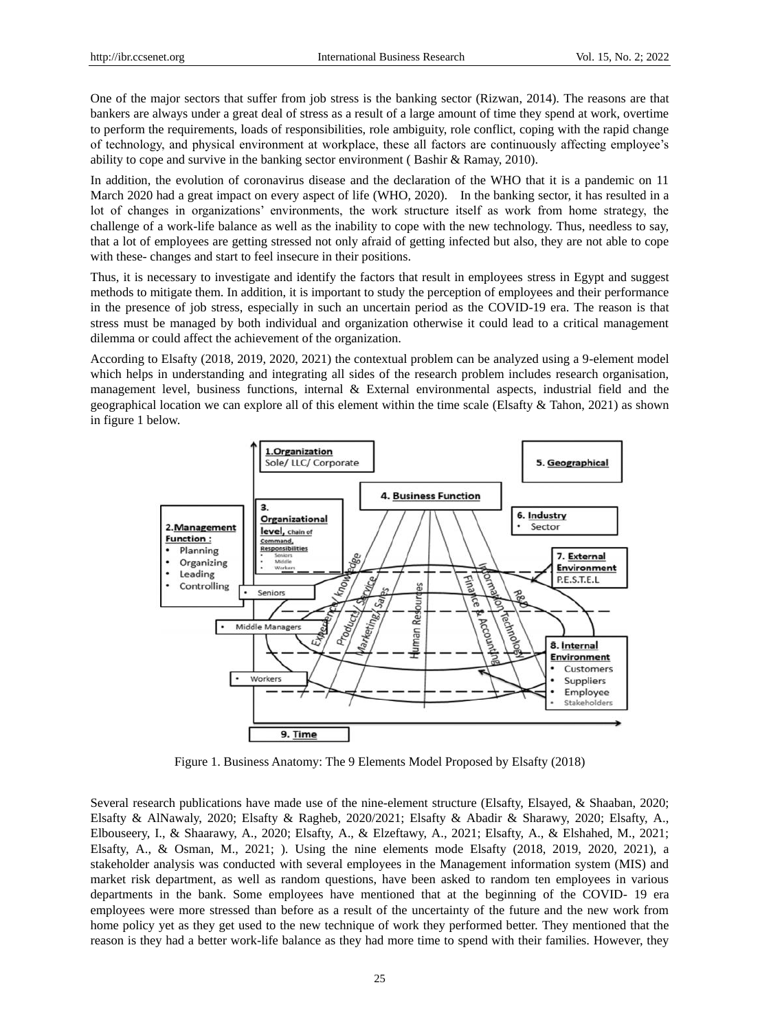One of the major sectors that suffer from job stress is the banking sector (Rizwan, 2014). The reasons are that bankers are always under a great deal of stress as a result of a large amount of time they spend at work, overtime to perform the requirements, loads of responsibilities, role ambiguity, role conflict, coping with the rapid change of technology, and physical environment at workplace, these all factors are continuously affecting employee's ability to cope and survive in the banking sector environment ( Bashir & Ramay, 2010).

In addition, the evolution of coronavirus disease and the declaration of the WHO that it is a pandemic on 11 March 2020 had a great impact on every aspect of life (WHO, 2020). In the banking sector, it has resulted in a lot of changes in organizations' environments, the work structure itself as work from home strategy, the challenge of a work-life balance as well as the inability to cope with the new technology. Thus, needless to say, that a lot of employees are getting stressed not only afraid of getting infected but also, they are not able to cope with these- changes and start to feel insecure in their positions.

Thus, it is necessary to investigate and identify the factors that result in employees stress in Egypt and suggest methods to mitigate them. In addition, it is important to study the perception of employees and their performance in the presence of job stress, especially in such an uncertain period as the COVID-19 era. The reason is that stress must be managed by both individual and organization otherwise it could lead to a critical management dilemma or could affect the achievement of the organization.

According to Elsafty (2018, 2019, 2020, 2021) the contextual problem can be analyzed using a 9-element model which helps in understanding and integrating all sides of the research problem includes research organisation, management level, business functions, internal & External environmental aspects, industrial field and the geographical location we can explore all of this element within the time scale (Elsafty & Tahon, 2021) as shown in figure 1 below.



Figure 1. Business Anatomy: The 9 Elements Model Proposed by Elsafty (2018)

Several research publications have made use of the nine-element structure (Elsafty, Elsayed, & Shaaban, 2020; Elsafty & AlNawaly, 2020; Elsafty & Ragheb, 2020/2021; Elsafty & Abadir & Sharawy, 2020; Elsafty, A., Elbouseery, I., & Shaarawy, A., 2020; Elsafty, A., & Elzeftawy, A., 2021; Elsafty, A., & Elshahed, M., 2021; Elsafty, A., & Osman, M., 2021; ). Using the nine elements mode Elsafty (2018, 2019, 2020, 2021), a stakeholder analysis was conducted with several employees in the Management information system (MIS) and market risk department, as well as random questions, have been asked to random ten employees in various departments in the bank. Some employees have mentioned that at the beginning of the COVID- 19 era employees were more stressed than before as a result of the uncertainty of the future and the new work from home policy yet as they get used to the new technique of work they performed better. They mentioned that the reason is they had a better work-life balance as they had more time to spend with their families. However, they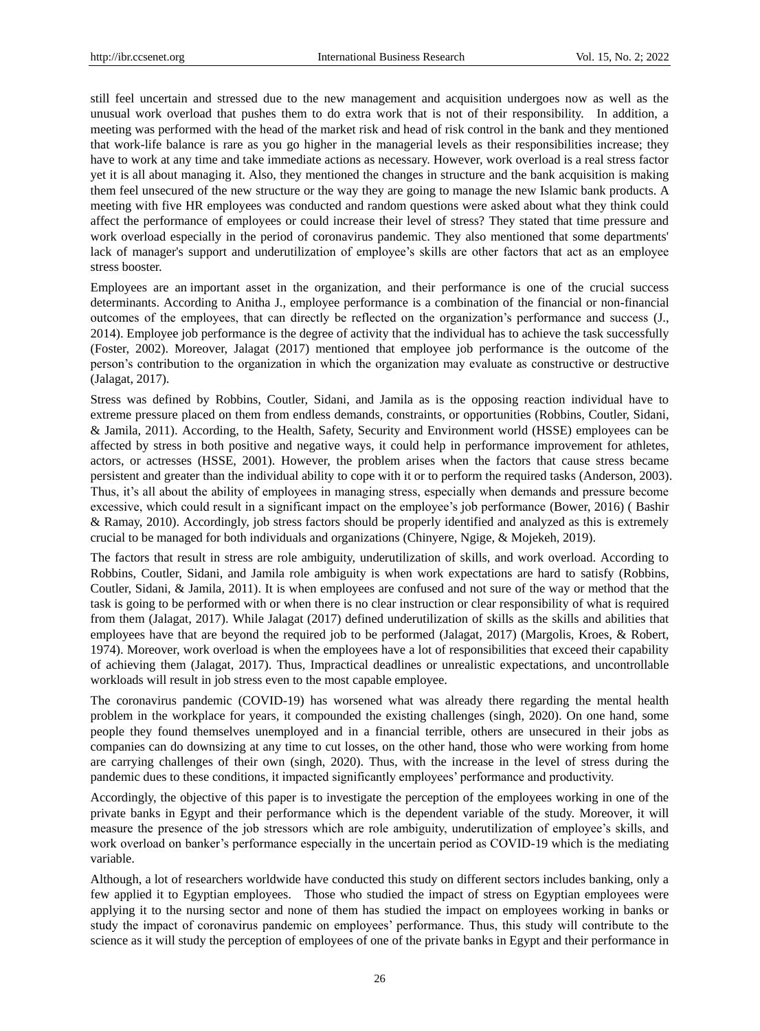still feel uncertain and stressed due to the new management and acquisition undergoes now as well as the unusual work overload that pushes them to do extra work that is not of their responsibility. In addition, a meeting was performed with the head of the market risk and head of risk control in the bank and they mentioned that work-life balance is rare as you go higher in the managerial levels as their responsibilities increase; they have to work at any time and take immediate actions as necessary. However, work overload is a real stress factor yet it is all about managing it. Also, they mentioned the changes in structure and the bank acquisition is making them feel unsecured of the new structure or the way they are going to manage the new Islamic bank products. A meeting with five HR employees was conducted and random questions were asked about what they think could affect the performance of employees or could increase their level of stress? They stated that time pressure and work overload especially in the period of coronavirus pandemic. They also mentioned that some departments' lack of manager's support and underutilization of employee's skills are other factors that act as an employee stress booster.

Employees are an important asset in the organization, and their performance is one of the crucial success determinants. According to Anitha J., employee performance is a combination of the financial or non-financial outcomes of the employees, that can directly be reflected on the organization's performance and success (J., 2014). Employee job performance is the degree of activity that the individual has to achieve the task successfully (Foster, 2002). Moreover, Jalagat (2017) mentioned that employee job performance is the outcome of the person's contribution to the organization in which the organization may evaluate as constructive or destructive (Jalagat, 2017).

Stress was defined by Robbins, Coutler, Sidani, and Jamila as is the opposing reaction individual have to extreme pressure placed on them from endless demands, constraints, or opportunities (Robbins, Coutler, Sidani, & Jamila, 2011). According, to the Health, Safety, Security and Environment world (HSSE) employees can be affected by stress in both positive and negative ways, it could help in performance improvement for athletes, actors, or actresses (HSSE, 2001). However, the problem arises when the factors that cause stress became persistent and greater than the individual ability to cope with it or to perform the required tasks (Anderson, 2003). Thus, it's all about the ability of employees in managing stress, especially when demands and pressure become excessive, which could result in a significant impact on the employee's job performance (Bower, 2016) ( Bashir & Ramay, 2010). Accordingly, job stress factors should be properly identified and analyzed as this is extremely crucial to be managed for both individuals and organizations (Chinyere, Ngige, & Mojekeh, 2019).

The factors that result in stress are role ambiguity, underutilization of skills, and work overload. According to Robbins, Coutler, Sidani, and Jamila role ambiguity is when work expectations are hard to satisfy (Robbins, Coutler, Sidani, & Jamila, 2011). It is when employees are confused and not sure of the way or method that the task is going to be performed with or when there is no clear instruction or clear responsibility of what is required from them (Jalagat, 2017). While Jalagat (2017) defined underutilization of skills as the skills and abilities that employees have that are beyond the required job to be performed (Jalagat, 2017) (Margolis, Kroes, & Robert, 1974). Moreover, work overload is when the employees have a lot of responsibilities that exceed their capability of achieving them (Jalagat, 2017). Thus, Impractical deadlines or unrealistic expectations, and uncontrollable workloads will result in job stress even to the most capable employee.

The coronavirus pandemic (COVID-19) has worsened what was already there regarding the mental health problem in the workplace for years, it compounded the existing challenges (singh, 2020). On one hand, some people they found themselves unemployed and in a financial terrible, others are unsecured in their jobs as companies can do downsizing at any time to cut losses, on the other hand, those who were working from home are carrying challenges of their own (singh, 2020). Thus, with the increase in the level of stress during the pandemic dues to these conditions, it impacted significantly employees' performance and productivity.

Accordingly, the objective of this paper is to investigate the perception of the employees working in one of the private banks in Egypt and their performance which is the dependent variable of the study. Moreover, it will measure the presence of the job stressors which are role ambiguity, underutilization of employee's skills, and work overload on banker's performance especially in the uncertain period as COVID-19 which is the mediating variable.

Although, a lot of researchers worldwide have conducted this study on different sectors includes banking, only a few applied it to Egyptian employees. Those who studied the impact of stress on Egyptian employees were applying it to the nursing sector and none of them has studied the impact on employees working in banks or study the impact of coronavirus pandemic on employees' performance. Thus, this study will contribute to the science as it will study the perception of employees of one of the private banks in Egypt and their performance in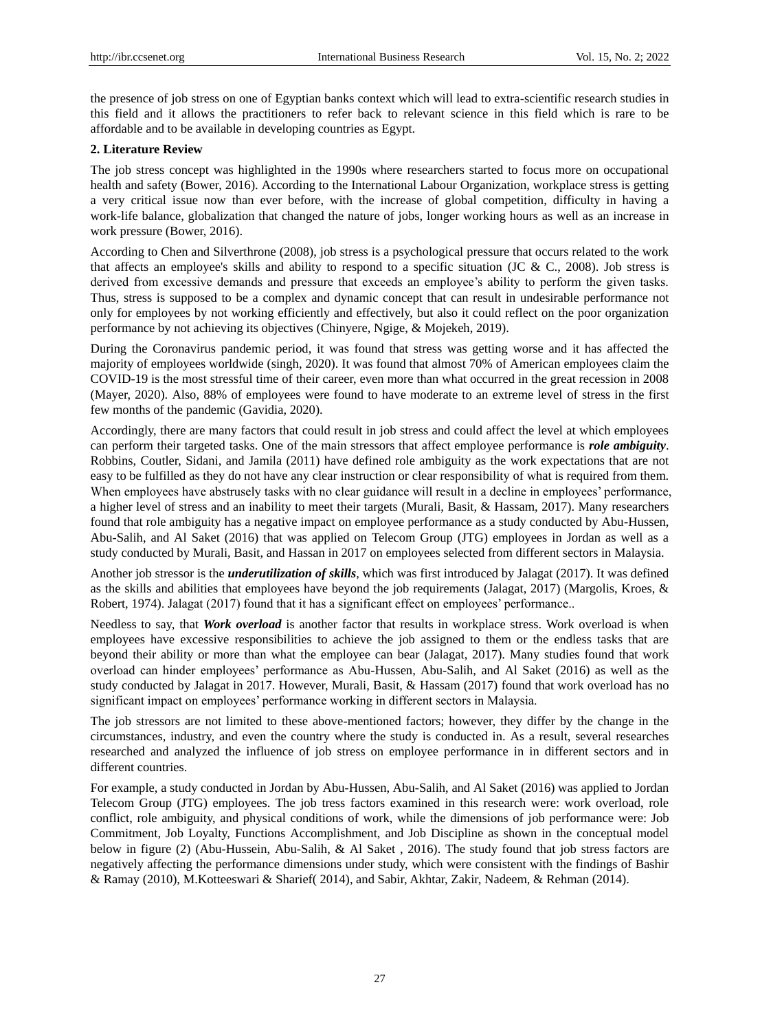the presence of job stress on one of Egyptian banks context which will lead to extra-scientific research studies in this field and it allows the practitioners to refer back to relevant science in this field which is rare to be affordable and to be available in developing countries as Egypt.

#### **2. Literature Review**

The job stress concept was highlighted in the 1990s where researchers started to focus more on occupational health and safety (Bower, 2016). According to the International Labour Organization, workplace stress is getting a very critical issue now than ever before, with the increase of global competition, difficulty in having a work-life balance, globalization that changed the nature of jobs, longer working hours as well as an increase in work pressure (Bower, 2016).

According to Chen and Silverthrone (2008), job stress is a psychological pressure that occurs related to the work that affects an employee's skills and ability to respond to a specific situation (JC & C., 2008). Job stress is derived from excessive demands and pressure that exceeds an employee's ability to perform the given tasks. Thus, stress is supposed to be a complex and dynamic concept that can result in undesirable performance not only for employees by not working efficiently and effectively, but also it could reflect on the poor organization performance by not achieving its objectives (Chinyere, Ngige, & Mojekeh, 2019).

During the Coronavirus pandemic period, it was found that stress was getting worse and it has affected the majority of employees worldwide (singh, 2020). It was found that almost 70% of American employees claim the COVID-19 is the most stressful time of their career, even more than what occurred in the great recession in 2008 (Mayer, 2020). Also, 88% of employees were found to have moderate to an extreme level of stress in the first few months of the pandemic (Gavidia, 2020).

Accordingly, there are many factors that could result in job stress and could affect the level at which employees can perform their targeted tasks. One of the main stressors that affect employee performance is *role ambiguity*. Robbins, Coutler, Sidani, and Jamila (2011) have defined role ambiguity as the work expectations that are not easy to be fulfilled as they do not have any clear instruction or clear responsibility of what is required from them. When employees have abstrusely tasks with no clear guidance will result in a decline in employees' performance, a higher level of stress and an inability to meet their targets (Murali, Basit, & Hassam, 2017). Many researchers found that role ambiguity has a negative impact on employee performance as a study conducted by Abu-Hussen, Abu-Salih, and Al Saket (2016) that was applied on Telecom Group (JTG) employees in Jordan as well as a study conducted by Murali, Basit, and Hassan in 2017 on employees selected from different sectors in Malaysia.

Another job stressor is the *underutilization of skills*, which was first introduced by Jalagat (2017). It was defined as the skills and abilities that employees have beyond the job requirements (Jalagat, 2017) (Margolis, Kroes, & Robert, 1974). Jalagat (2017) found that it has a significant effect on employees' performance..

Needless to say, that *Work overload* is another factor that results in workplace stress. Work overload is when employees have excessive responsibilities to achieve the job assigned to them or the endless tasks that are beyond their ability or more than what the employee can bear (Jalagat, 2017). Many studies found that work overload can hinder employees' performance as Abu-Hussen, Abu-Salih, and Al Saket (2016) as well as the study conducted by Jalagat in 2017. However, Murali, Basit, & Hassam (2017) found that work overload has no significant impact on employees' performance working in different sectors in Malaysia.

The job stressors are not limited to these above-mentioned factors; however, they differ by the change in the circumstances, industry, and even the country where the study is conducted in. As a result, several researches researched and analyzed the influence of job stress on employee performance in in different sectors and in different countries.

For example, a study conducted in Jordan by Abu-Hussen, Abu-Salih, and Al Saket (2016) was applied to Jordan Telecom Group (JTG) employees. The job tress factors examined in this research were: work overload, role conflict, role ambiguity, and physical conditions of work, while the dimensions of job performance were: Job Commitment, Job Loyalty, Functions Accomplishment, and Job Discipline as shown in the conceptual model below in figure (2) (Abu-Hussein, Abu-Salih, & Al Saket , 2016). The study found that job stress factors are negatively affecting the performance dimensions under study, which were consistent with the findings of Bashir & Ramay (2010), M.Kotteeswari & Sharief( 2014), and Sabir, Akhtar, Zakir, Nadeem, & Rehman (2014).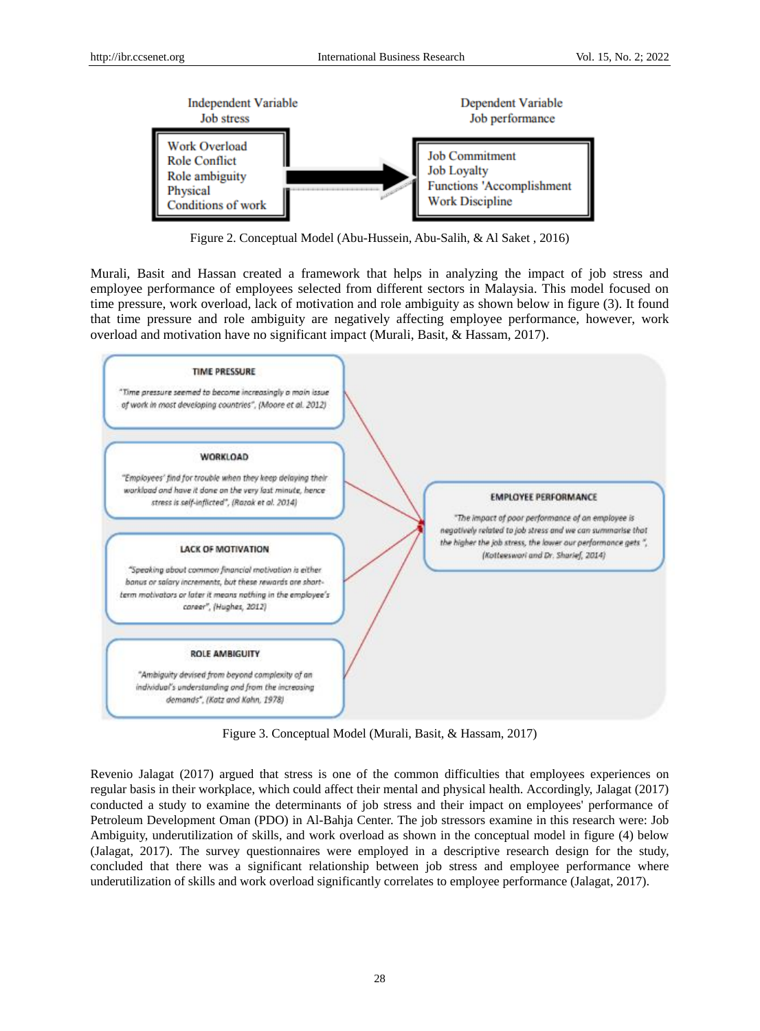

Figure 2. Conceptual Model (Abu-Hussein, Abu-Salih, & Al Saket , 2016)

Murali, Basit and Hassan created a framework that helps in analyzing the impact of job stress and employee performance of employees selected from different sectors in Malaysia. This model focused on time pressure, work overload, lack of motivation and role ambiguity as shown below in figure (3). It found that time pressure and role ambiguity are negatively affecting employee performance, however, work overload and motivation have no significant impact (Murali, Basit, & Hassam, 2017).



Figure 3. Conceptual Model (Murali, Basit, & Hassam, 2017)

Revenio Jalagat (2017) argued that stress is one of the common difficulties that employees experiences on regular basis in their workplace, which could affect their mental and physical health. Accordingly, Jalagat (2017) conducted a study to examine the determinants of job stress and their impact on employees' performance of Petroleum Development Oman (PDO) in Al-Bahja Center. The job stressors examine in this research were: Job Ambiguity, underutilization of skills, and work overload as shown in the conceptual model in figure (4) below (Jalagat, 2017). The survey questionnaires were employed in a descriptive research design for the study, concluded that there was a significant relationship between job stress and employee performance where underutilization of skills and work overload significantly correlates to employee performance (Jalagat, 2017).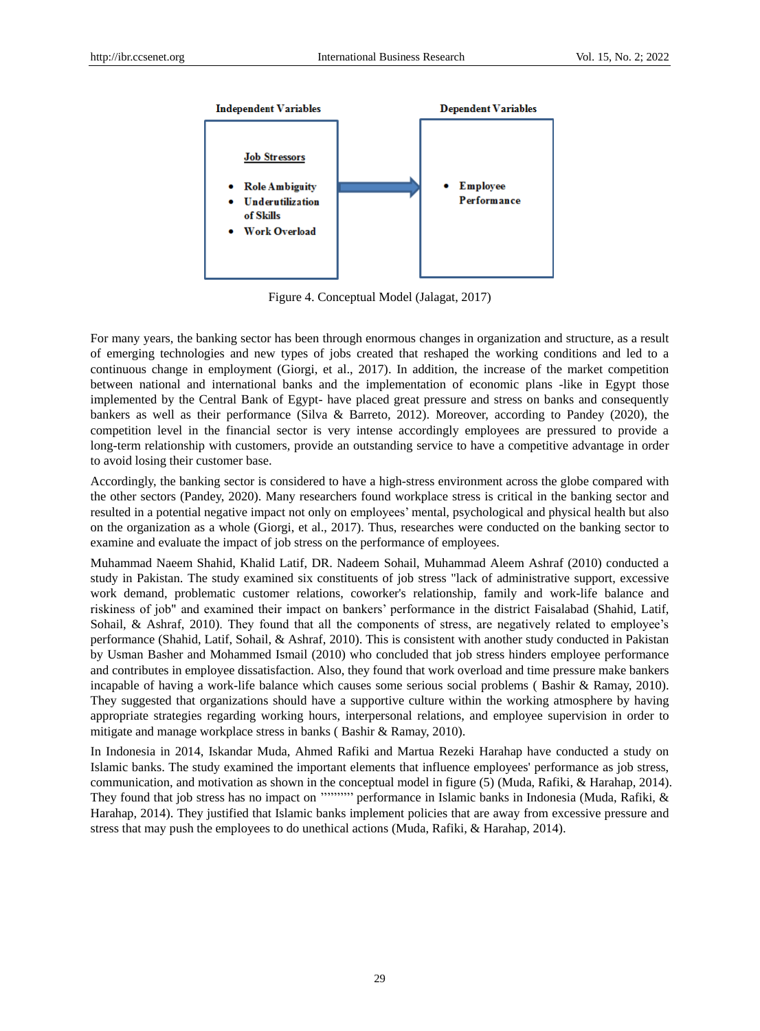

Figure 4. Conceptual Model (Jalagat, 2017)

For many years, the banking sector has been through enormous changes in organization and structure, as a result of emerging technologies and new types of jobs created that reshaped the working conditions and led to a continuous change in employment (Giorgi, et al., 2017). In addition, the increase of the market competition between national and international banks and the implementation of economic plans -like in Egypt those implemented by the Central Bank of Egypt- have placed great pressure and stress on banks and consequently bankers as well as their performance (Silva & Barreto, 2012). Moreover, according to Pandey (2020), the competition level in the financial sector is very intense accordingly employees are pressured to provide a long-term relationship with customers, provide an outstanding service to have a competitive advantage in order to avoid losing their customer base.

Accordingly, the banking sector is considered to have a high-stress environment across the globe compared with the other sectors (Pandey, 2020). Many researchers found workplace stress is critical in the banking sector and resulted in a potential negative impact not only on employees' mental, psychological and physical health but also on the organization as a whole (Giorgi, et al., 2017). Thus, researches were conducted on the banking sector to examine and evaluate the impact of job stress on the performance of employees.

Muhammad Naeem Shahid, Khalid Latif, DR. Nadeem Sohail, Muhammad Aleem Ashraf (2010) conducted a study in Pakistan. The study examined six constituents of job stress "lack of administrative support, excessive work demand, problematic customer relations, coworker's relationship, family and work-life balance and riskiness of job" and examined their impact on bankers' performance in the district Faisalabad (Shahid, Latif, Sohail, & Ashraf, 2010). They found that all the components of stress, are negatively related to employee's performance (Shahid, Latif, Sohail, & Ashraf, 2010). This is consistent with another study conducted in Pakistan by Usman Basher and Mohammed Ismail (2010) who concluded that job stress hinders employee performance and contributes in employee dissatisfaction. Also, they found that work overload and time pressure make bankers incapable of having a work-life balance which causes some serious social problems ( Bashir & Ramay, 2010). They suggested that organizations should have a supportive culture within the working atmosphere by having appropriate strategies regarding working hours, interpersonal relations, and employee supervision in order to mitigate and manage workplace stress in banks ( Bashir & Ramay, 2010).

In Indonesia in 2014, Iskandar Muda, Ahmed Rafiki and Martua Rezeki Harahap have conducted a study on Islamic banks. The study examined the important elements that influence employees' performance as job stress, communication, and motivation as shown in the conceptual model in figure (5) (Muda, Rafiki, & Harahap, 2014). They found that job stress has no impact on '''''''''' performance in Islamic banks in Indonesia (Muda, Rafiki, & Harahap, 2014). They justified that Islamic banks implement policies that are away from excessive pressure and stress that may push the employees to do unethical actions (Muda, Rafiki, & Harahap, 2014).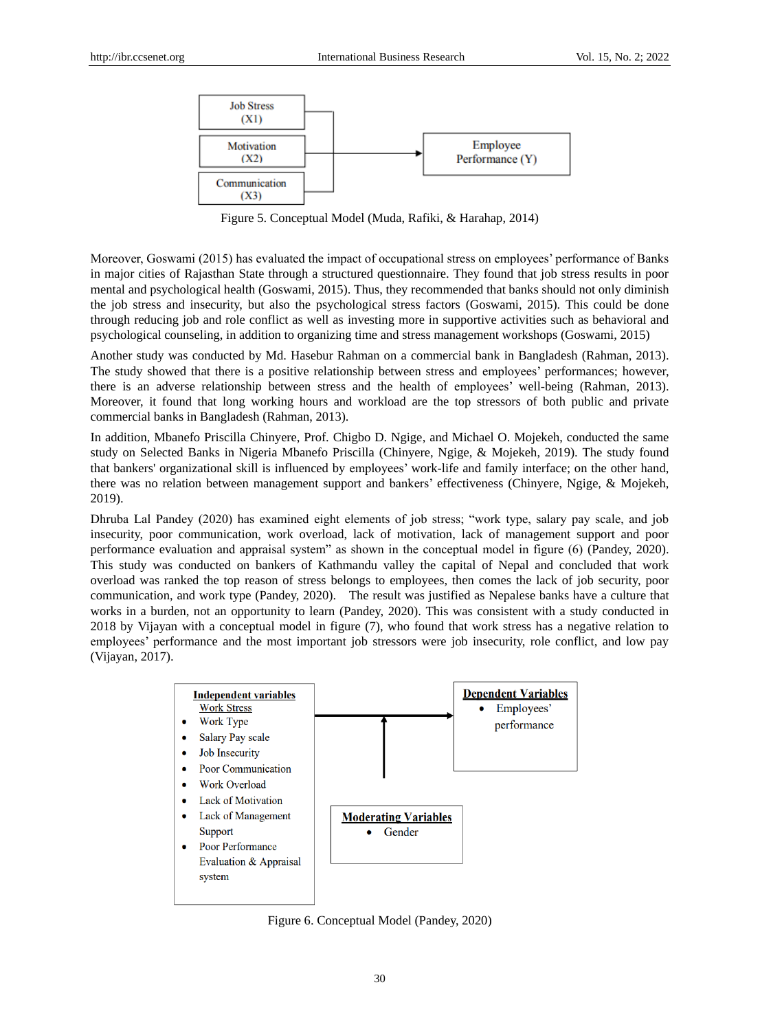

Figure 5. Conceptual Model (Muda, Rafiki, & Harahap, 2014)

Moreover, Goswami (2015) has evaluated the impact of occupational stress on employees' performance of Banks in major cities of Rajasthan State through a structured questionnaire. They found that job stress results in poor mental and psychological health (Goswami, 2015). Thus, they recommended that banks should not only diminish the job stress and insecurity, but also the psychological stress factors (Goswami, 2015). This could be done through reducing job and role conflict as well as investing more in supportive activities such as behavioral and psychological counseling, in addition to organizing time and stress management workshops (Goswami, 2015)

Another study was conducted by Md. Hasebur Rahman on a commercial bank in Bangladesh (Rahman, 2013). The study showed that there is a positive relationship between stress and employees' performances; however, there is an adverse relationship between stress and the health of employees' well-being (Rahman, 2013). Moreover, it found that long working hours and workload are the top stressors of both public and private commercial banks in Bangladesh (Rahman, 2013).

In addition, Mbanefo Priscilla Chinyere, Prof. Chigbo D. Ngige, and Michael O. Mojekeh, conducted the same study on Selected Banks in Nigeria Mbanefo Priscilla (Chinyere, Ngige, & Mojekeh, 2019). The study found that bankers' organizational skill is influenced by employees' work-life and family interface; on the other hand, there was no relation between management support and bankers' effectiveness (Chinyere, Ngige, & Mojekeh, 2019).

Dhruba Lal Pandey (2020) has examined eight elements of job stress; "work type, salary pay scale, and job insecurity, poor communication, work overload, lack of motivation, lack of management support and poor performance evaluation and appraisal system" as shown in the conceptual model in figure (6) (Pandey, 2020). This study was conducted on bankers of Kathmandu valley the capital of Nepal and concluded that work overload was ranked the top reason of stress belongs to employees, then comes the lack of job security, poor communication, and work type (Pandey, 2020). The result was justified as Nepalese banks have a culture that works in a burden, not an opportunity to learn (Pandey, 2020). This was consistent with a study conducted in 2018 by Vijayan with a conceptual model in figure (7), who found that work stress has a negative relation to employees' performance and the most important job stressors were job insecurity, role conflict, and low pay (Vijayan, 2017).



Figure 6. Conceptual Model (Pandey, 2020)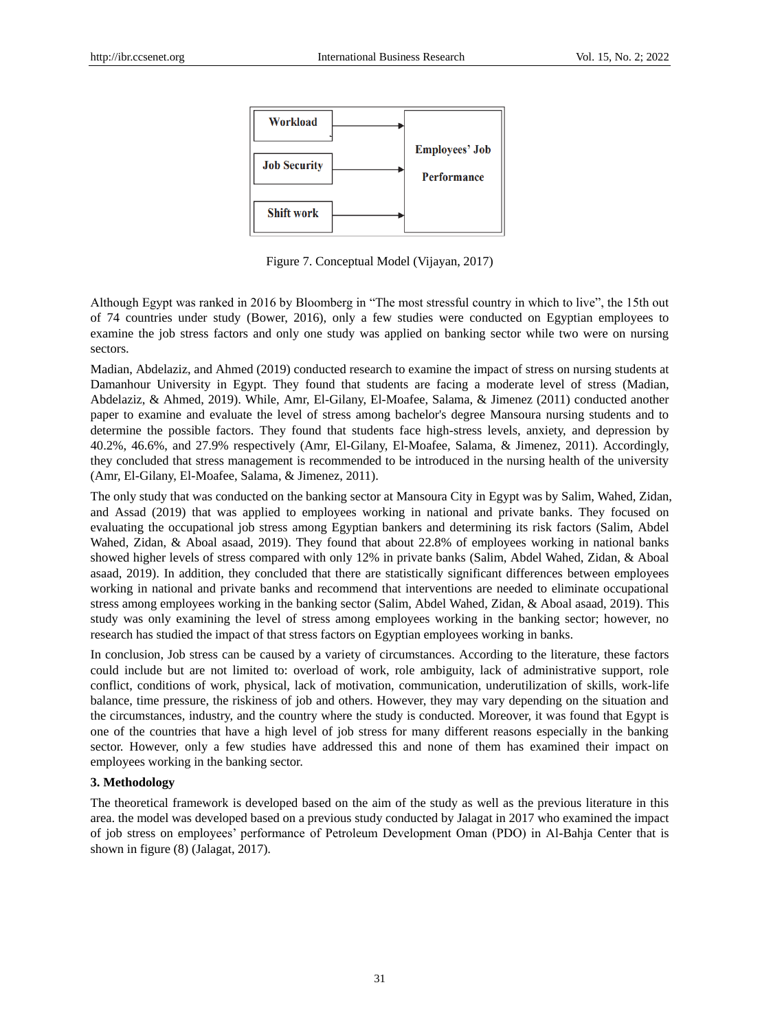

Figure 7. Conceptual Model (Vijayan, 2017)

Although Egypt was ranked in 2016 by Bloomberg in "The most stressful country in which to live", the 15th out of 74 countries under study (Bower, 2016), only a few studies were conducted on Egyptian employees to examine the job stress factors and only one study was applied on banking sector while two were on nursing sectors.

Madian, Abdelaziz, and Ahmed (2019) conducted research to examine the impact of stress on nursing students at Damanhour University in Egypt. They found that students are facing a moderate level of stress (Madian, Abdelaziz, & Ahmed, 2019). While, Amr, El-Gilany, El-Moafee, Salama, & Jimenez (2011) conducted another paper to examine and evaluate the level of stress among bachelor's degree Mansoura nursing students and to determine the possible factors. They found that students face high-stress levels, anxiety, and depression by 40.2%, 46.6%, and 27.9% respectively (Amr, El-Gilany, El-Moafee, Salama, & Jimenez, 2011). Accordingly, they concluded that stress management is recommended to be introduced in the nursing health of the university (Amr, El-Gilany, El-Moafee, Salama, & Jimenez, 2011).

The only study that was conducted on the banking sector at Mansoura City in Egypt was by Salim, Wahed, Zidan, and Assad (2019) that was applied to employees working in national and private banks. They focused on evaluating the occupational job stress among Egyptian bankers and determining its risk factors (Salim, Abdel Wahed, Zidan, & Aboal asaad, 2019). They found that about 22.8% of employees working in national banks showed higher levels of stress compared with only 12% in private banks (Salim, Abdel Wahed, Zidan, & Aboal asaad, 2019). In addition, they concluded that there are statistically significant differences between employees working in national and private banks and recommend that interventions are needed to eliminate occupational stress among employees working in the banking sector (Salim, Abdel Wahed, Zidan, & Aboal asaad, 2019). This study was only examining the level of stress among employees working in the banking sector; however, no research has studied the impact of that stress factors on Egyptian employees working in banks.

In conclusion, Job stress can be caused by a variety of circumstances. According to the literature, these factors could include but are not limited to: overload of work, role ambiguity, lack of administrative support, role conflict, conditions of work, physical, lack of motivation, communication, underutilization of skills, work-life balance, time pressure, the riskiness of job and others. However, they may vary depending on the situation and the circumstances, industry, and the country where the study is conducted. Moreover, it was found that Egypt is one of the countries that have a high level of job stress for many different reasons especially in the banking sector. However, only a few studies have addressed this and none of them has examined their impact on employees working in the banking sector.

#### **3. Methodology**

The theoretical framework is developed based on the aim of the study as well as the previous literature in this area. the model was developed based on a previous study conducted by Jalagat in 2017 who examined the impact of job stress on employees' performance of Petroleum Development Oman (PDO) in Al-Bahja Center that is shown in figure (8) (Jalagat, 2017).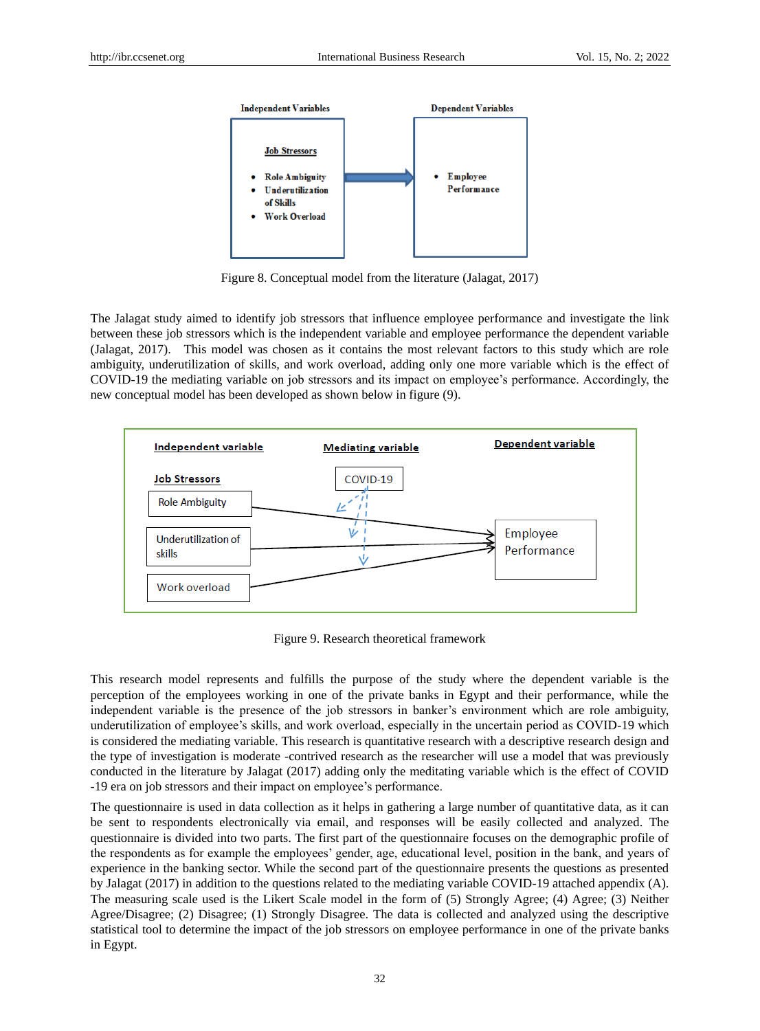

Figure 8. Conceptual model from the literature (Jalagat, 2017)

The Jalagat study aimed to identify job stressors that influence employee performance and investigate the link between these job stressors which is the independent variable and employee performance the dependent variable (Jalagat, 2017). This model was chosen as it contains the most relevant factors to this study which are role ambiguity, underutilization of skills, and work overload, adding only one more variable which is the effect of COVID-19 the mediating variable on job stressors and its impact on employee's performance. Accordingly, the new conceptual model has been developed as shown below in figure (9).



Figure 9. Research theoretical framework

This research model represents and fulfills the purpose of the study where the dependent variable is the perception of the employees working in one of the private banks in Egypt and their performance, while the independent variable is the presence of the job stressors in banker's environment which are role ambiguity, underutilization of employee's skills, and work overload, especially in the uncertain period as COVID-19 which is considered the mediating variable. This research is quantitative research with a descriptive research design and the type of investigation is moderate -contrived research as the researcher will use a model that was previously conducted in the literature by Jalagat (2017) adding only the meditating variable which is the effect of COVID -19 era on job stressors and their impact on employee's performance.

The questionnaire is used in data collection as it helps in gathering a large number of quantitative data, as it can be sent to respondents electronically via email, and responses will be easily collected and analyzed. The questionnaire is divided into two parts. The first part of the questionnaire focuses on the demographic profile of the respondents as for example the employees' gender, age, educational level, position in the bank, and years of experience in the banking sector. While the second part of the questionnaire presents the questions as presented by Jalagat (2017) in addition to the questions related to the mediating variable COVID-19 attached appendix (A). The measuring scale used is the Likert Scale model in the form of (5) Strongly Agree; (4) Agree; (3) Neither Agree/Disagree; (2) Disagree; (1) Strongly Disagree. The data is collected and analyzed using the descriptive statistical tool to determine the impact of the job stressors on employee performance in one of the private banks in Egypt.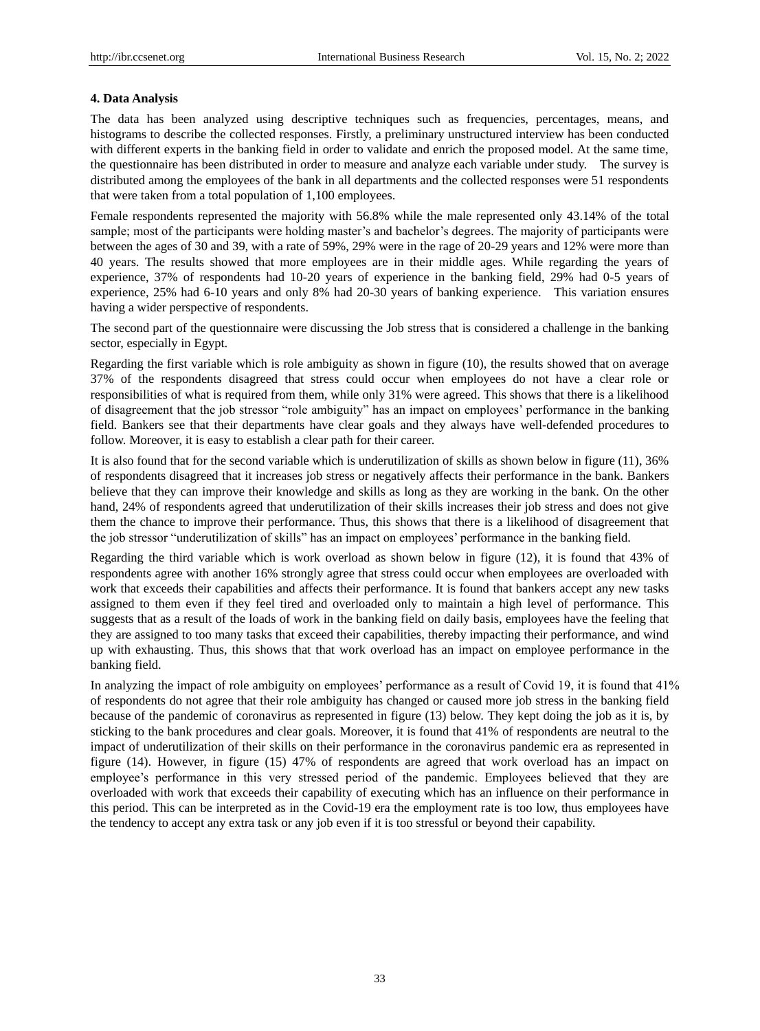#### **4. Data Analysis**

The data has been analyzed using descriptive techniques such as frequencies, percentages, means, and histograms to describe the collected responses. Firstly, a preliminary unstructured interview has been conducted with different experts in the banking field in order to validate and enrich the proposed model. At the same time, the questionnaire has been distributed in order to measure and analyze each variable under study. The survey is distributed among the employees of the bank in all departments and the collected responses were 51 respondents that were taken from a total population of 1,100 employees.

Female respondents represented the majority with 56.8% while the male represented only 43.14% of the total sample; most of the participants were holding master's and bachelor's degrees. The majority of participants were between the ages of 30 and 39, with a rate of 59%, 29% were in the rage of 20-29 years and 12% were more than 40 years. The results showed that more employees are in their middle ages. While regarding the years of experience, 37% of respondents had 10-20 years of experience in the banking field, 29% had 0-5 years of experience, 25% had 6-10 years and only 8% had 20-30 years of banking experience. This variation ensures having a wider perspective of respondents.

The second part of the questionnaire were discussing the Job stress that is considered a challenge in the banking sector, especially in Egypt.

Regarding the first variable which is role ambiguity as shown in figure (10), the results showed that on average 37% of the respondents disagreed that stress could occur when employees do not have a clear role or responsibilities of what is required from them, while only 31% were agreed. This shows that there is a likelihood of disagreement that the job stressor "role ambiguity" has an impact on employees' performance in the banking field. Bankers see that their departments have clear goals and they always have well-defended procedures to follow. Moreover, it is easy to establish a clear path for their career.

It is also found that for the second variable which is underutilization of skills as shown below in figure (11), 36% of respondents disagreed that it increases job stress or negatively affects their performance in the bank. Bankers believe that they can improve their knowledge and skills as long as they are working in the bank. On the other hand, 24% of respondents agreed that underutilization of their skills increases their job stress and does not give them the chance to improve their performance. Thus, this shows that there is a likelihood of disagreement that the job stressor "underutilization of skills" has an impact on employees' performance in the banking field.

Regarding the third variable which is work overload as shown below in figure (12), it is found that 43% of respondents agree with another 16% strongly agree that stress could occur when employees are overloaded with work that exceeds their capabilities and affects their performance. It is found that bankers accept any new tasks assigned to them even if they feel tired and overloaded only to maintain a high level of performance. This suggests that as a result of the loads of work in the banking field on daily basis, employees have the feeling that they are assigned to too many tasks that exceed their capabilities, thereby impacting their performance, and wind up with exhausting. Thus, this shows that that work overload has an impact on employee performance in the banking field.

In analyzing the impact of role ambiguity on employees' performance as a result of Covid 19, it is found that 41% of respondents do not agree that their role ambiguity has changed or caused more job stress in the banking field because of the pandemic of coronavirus as represented in figure (13) below. They kept doing the job as it is, by sticking to the bank procedures and clear goals. Moreover, it is found that 41% of respondents are neutral to the impact of underutilization of their skills on their performance in the coronavirus pandemic era as represented in figure (14). However, in figure (15) 47% of respondents are agreed that work overload has an impact on employee's performance in this very stressed period of the pandemic. Employees believed that they are overloaded with work that exceeds their capability of executing which has an influence on their performance in this period. This can be interpreted as in the Covid-19 era the employment rate is too low, thus employees have the tendency to accept any extra task or any job even if it is too stressful or beyond their capability.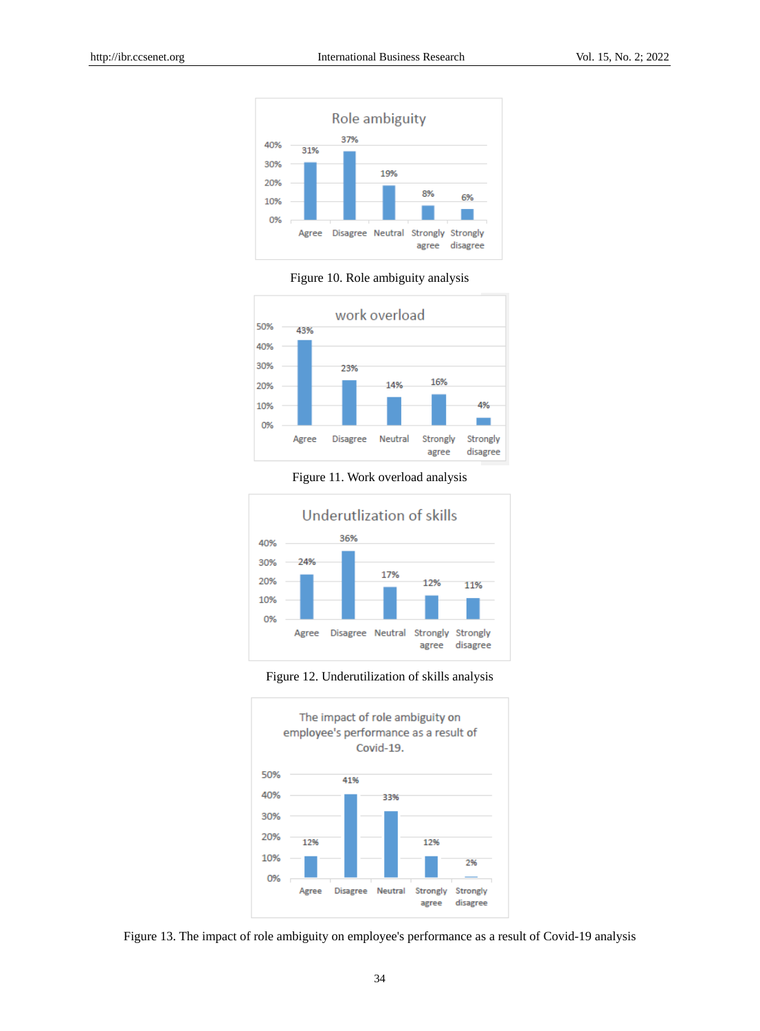





Figure 11. Work overload analysis



Figure 12. Underutilization of skills analysis



Figure 13. The impact of role ambiguity on employee's performance as a result of Covid-19 analysis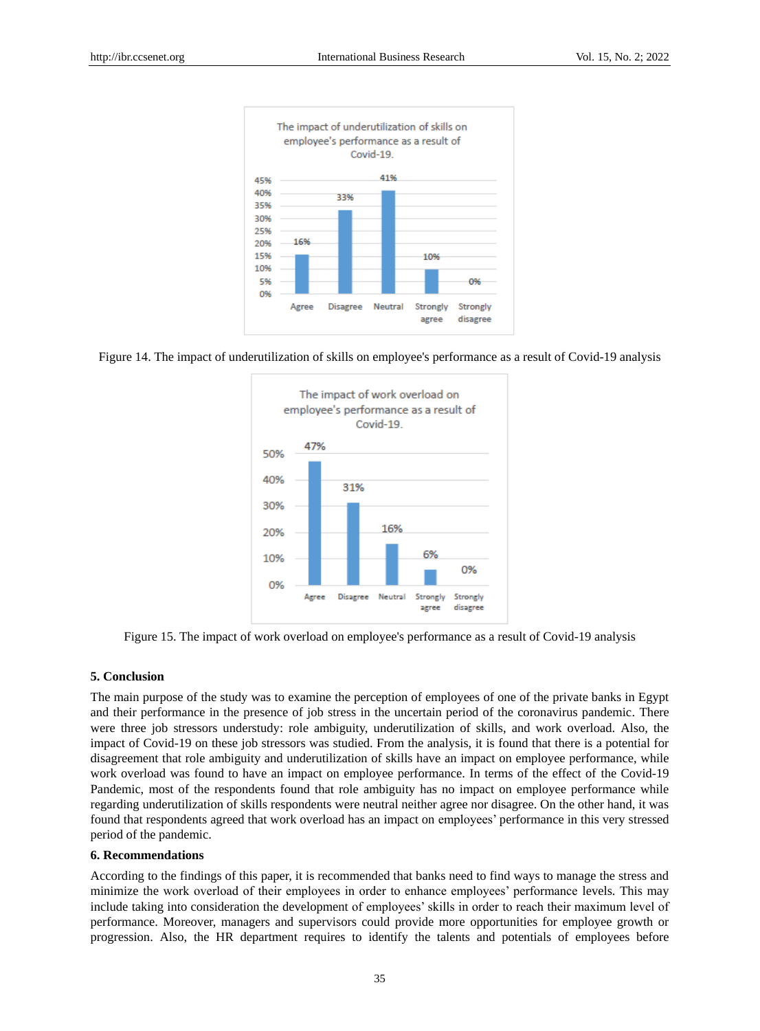

Figure 14. The impact of underutilization of skills on employee's performance as a result of Covid-19 analysis



Figure 15. The impact of work overload on employee's performance as a result of Covid-19 analysis

#### **5. Conclusion**

The main purpose of the study was to examine the perception of employees of one of the private banks in Egypt and their performance in the presence of job stress in the uncertain period of the coronavirus pandemic. There were three job stressors understudy: role ambiguity, underutilization of skills, and work overload. Also, the impact of Covid-19 on these job stressors was studied. From the analysis, it is found that there is a potential for disagreement that role ambiguity and underutilization of skills have an impact on employee performance, while work overload was found to have an impact on employee performance. In terms of the effect of the Covid-19 Pandemic, most of the respondents found that role ambiguity has no impact on employee performance while regarding underutilization of skills respondents were neutral neither agree nor disagree. On the other hand, it was found that respondents agreed that work overload has an impact on employees' performance in this very stressed period of the pandemic.

#### **6. Recommendations**

According to the findings of this paper, it is recommended that banks need to find ways to manage the stress and minimize the work overload of their employees in order to enhance employees' performance levels. This may include taking into consideration the development of employees' skills in order to reach their maximum level of performance. Moreover, managers and supervisors could provide more opportunities for employee growth or progression. Also, the HR department requires to identify the talents and potentials of employees before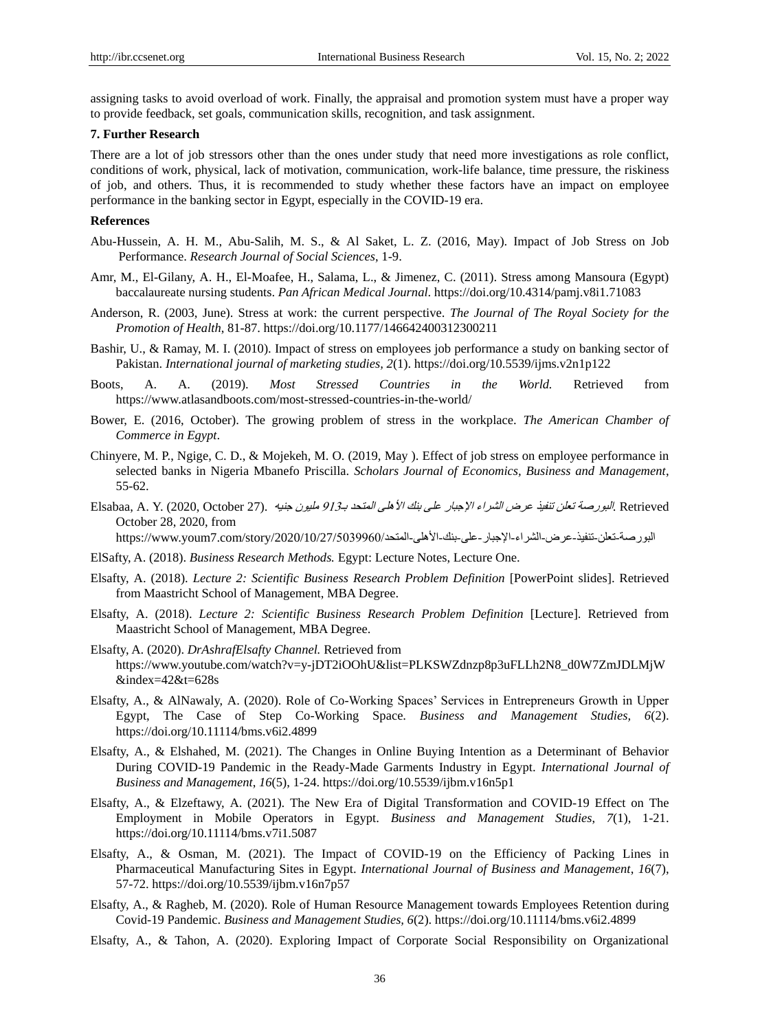assigning tasks to avoid overload of work. Finally, the appraisal and promotion system must have a proper way to provide feedback, set goals, communication skills, recognition, and task assignment.

#### **7. Further Research**

There are a lot of job stressors other than the ones under study that need more investigations as role conflict, conditions of work, physical, lack of motivation, communication, work-life balance, time pressure, the riskiness of job, and others. Thus, it is recommended to study whether these factors have an impact on employee performance in the banking sector in Egypt, especially in the COVID-19 era.

#### **References**

- Abu-Hussein, A. H. M., Abu-Salih, M. S., & Al Saket, L. Z. (2016, May). Impact of Job Stress on Job Performance. *Research Journal of Social Sciences*, 1-9.
- Amr, M., El-Gilany, A. H., El-Moafee, H., Salama, L., & Jimenez, C. (2011). Stress among Mansoura (Egypt) baccalaureate nursing students. *Pan African Medical Journal*. https://doi.org/10.4314/pamj.v8i1.71083
- Anderson, R. (2003, June). Stress at work: the current perspective. *The Journal of The Royal Society for the Promotion of Health*, 81-87. https://doi.org/10.1177/146642400312300211
- Bashir, U., & Ramay, M. I. (2010). Impact of stress on employees job performance a study on banking sector of Pakistan. *International journal of marketing studies, 2*(1). https://doi.org/10.5539/ijms.v2n1p122
- Boots, A. A. (2019). *Most Stressed Countries in the World.* Retrieved from https://www.atlasandboots.com/most-stressed-countries-in-the-world/
- Bower, E. (2016, October). The growing problem of stress in the workplace. *The American Chamber of Commerce in Egypt*.
- Chinyere, M. P., Ngige, C. D., & Mojekeh, M. O. (2019, May ). Effect of job stress on employee performance in selected banks in Nigeria Mbanefo Priscilla. *Scholars Journal of Economics, Business and Management*, 55-62.
- Retrieved .البورصة تعلن تنفيذ عرض الشراء الإجبار على بنك الأهلى المتحد بـ913 مليون جنيه .(27 Retrieved .N. Y. (2020, October .) October 28, 2020, from

البورصة-تعلن-تنفيذ-عرض-الشراء-الإجبار-على-بنك-الأهلي-المتحد/2020/10/27/5039960/ https://www.youm7.com/story/2020

- ElSafty, A. (2018). *Business Research Methods.* Egypt: Lecture Notes, Lecture One.
- Elsafty, A. (2018). *Lecture 2: Scientific Business Research Problem Definition* [PowerPoint slides]. Retrieved from Maastricht School of Management, MBA Degree.
- Elsafty, A. (2018). *Lecture 2: Scientific Business Research Problem Definition* [Lecture]. Retrieved from Maastricht School of Management, MBA Degree.
- Elsafty, A. (2020). *DrAshrafElsafty Channel.* Retrieved from https://www.youtube.com/watch?v=y-jDT2iOOhU&list=PLKSWZdnzp8p3uFLLh2N8\_d0W7ZmJDLMjW  $\&$ index=42 $\&$ t=628s
- Elsafty, A., & AlNawaly, A. (2020). Role of Co-Working Spaces' Services in Entrepreneurs Growth in Upper Egypt, The Case of Step Co-Working Space. *Business and Management Studies, 6*(2). https://doi.org/10.11114/bms.v6i2.4899
- Elsafty, A., & Elshahed, M. (2021). The Changes in Online Buying Intention as a Determinant of Behavior During COVID-19 Pandemic in the Ready-Made Garments Industry in Egypt. *International Journal of Business and Management*, *16*(5), 1-24. https://doi.org/10.5539/ijbm.v16n5p1
- Elsafty, A., & Elzeftawy, A. (2021). The New Era of Digital Transformation and COVID-19 Effect on The Employment in Mobile Operators in Egypt. *Business and Management Studies*, *7*(1), 1-21. https://doi.org/10.11114/bms.v7i1.5087
- Elsafty, A., & Osman, M. (2021). The Impact of COVID-19 on the Efficiency of Packing Lines in Pharmaceutical Manufacturing Sites in Egypt. *International Journal of Business and Management*, *16*(7), 57-72. https://doi.org/10.5539/ijbm.v16n7p57
- Elsafty, A., & Ragheb, M. (2020). Role of Human Resource Management towards Employees Retention during Covid-19 Pandemic. *Business and Management Studies, 6*(2). https://doi.org/10.11114/bms.v6i2.4899
- Elsafty, A., & Tahon, A. (2020). Exploring Impact of Corporate Social Responsibility on Organizational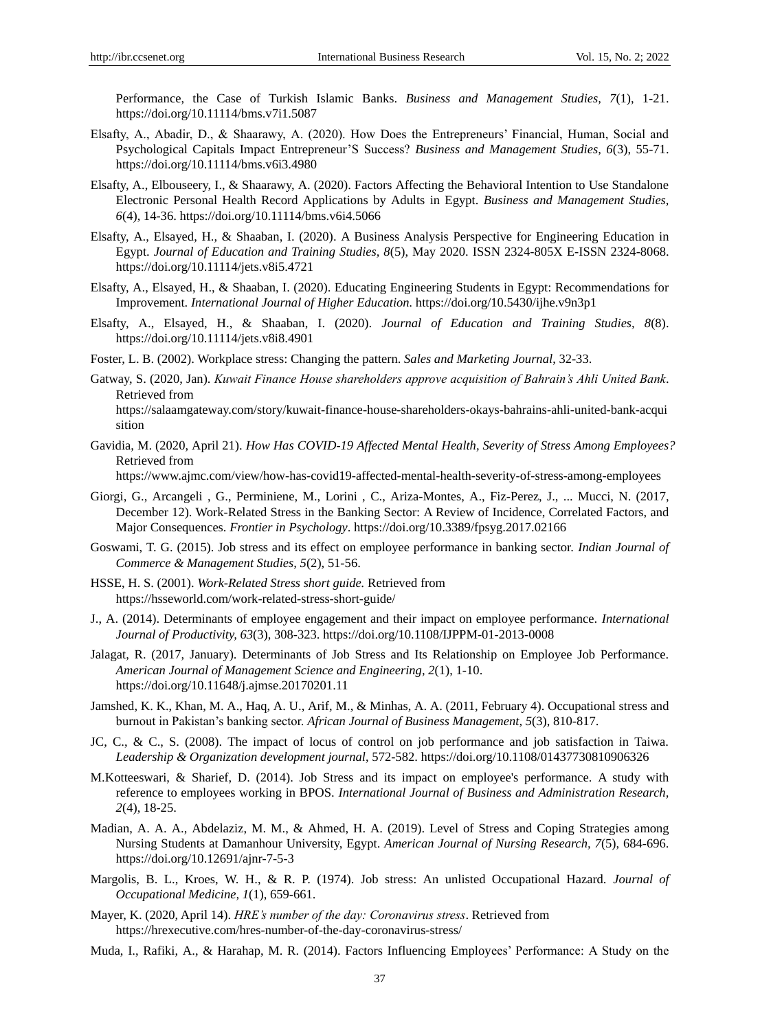Performance, the Case of Turkish Islamic Banks. *Business and Management Studies, 7*(1), 1-21. https://doi.org/10.11114/bms.v7i1.5087

- Elsafty, A., Abadir, D., & Shaarawy, A. (2020). How Does the Entrepreneurs' Financial, Human, Social and Psychological Capitals Impact Entrepreneur'S Success? *Business and Management Studies, 6*(3), 55-71. https://doi.org/10.11114/bms.v6i3.4980
- Elsafty, A., Elbouseery, I., & Shaarawy, A. (2020). Factors Affecting the Behavioral Intention to Use Standalone Electronic Personal Health Record Applications by Adults in Egypt. *Business and Management Studies, 6*(4), 14-36. https://doi.org/10.11114/bms.v6i4.5066
- Elsafty, A., Elsayed, H., & Shaaban, I. (2020). A Business Analysis Perspective for Engineering Education in Egypt. *Journal of Education and Training Studies, 8*(5), May 2020. ISSN 2324-805X E-ISSN 2324-8068. https://doi.org/10.11114/jets.v8i5.4721
- Elsafty, A., Elsayed, H., & Shaaban, I. (2020). Educating Engineering Students in Egypt: Recommendations for Improvement. *International Journal of Higher Education.* https://doi.org/10.5430/ijhe.v9n3p1
- Elsafty, A., Elsayed, H., & Shaaban, I. (2020). *Journal of Education and Training Studies, 8*(8). https://doi.org/10.11114/jets.v8i8.4901
- Foster, L. B. (2002). Workplace stress: Changing the pattern. *Sales and Marketing Journal*, 32-33.
- Gatway, S. (2020, Jan). *Kuwait Finance House shareholders approve acquisition of Bahrain's Ahli United Bank*. Retrieved from

https://salaamgateway.com/story/kuwait-finance-house-shareholders-okays-bahrains-ahli-united-bank-acqui sition

Gavidia, M. (2020, April 21). *How Has COVID-19 Affected Mental Health, Severity of Stress Among Employees?* Retrieved from

https://www.ajmc.com/view/how-has-covid19-affected-mental-health-severity-of-stress-among-employees

- Giorgi, G., Arcangeli , G., Perminiene, M., Lorini , C., Ariza-Montes, A., Fiz-Perez, J., ... Mucci, N. (2017, December 12). Work-Related Stress in the Banking Sector: A Review of Incidence, Correlated Factors, and Major Consequences. *Frontier in Psychology*. https://doi.org/10.3389/fpsyg.2017.02166
- Goswami, T. G. (2015). Job stress and its effect on employee performance in banking sector. *Indian Journal of Commerce & Management Studies, 5*(2), 51-56.
- HSSE, H. S. (2001). *Work-Related Stress short guide.* Retrieved from https://hsseworld.com/work-related-stress-short-guide/
- J., A. (2014). Determinants of employee engagement and their impact on employee performance. *International Journal of Productivity, 63*(3), 308-323. https://doi.org/10.1108/IJPPM-01-2013-0008
- Jalagat, R. (2017, January). Determinants of Job Stress and Its Relationship on Employee Job Performance. *American Journal of Management Science and Engineering, 2*(1), 1-10. https://doi.org/10.11648/j.ajmse.20170201.11
- Jamshed, K. K., Khan, M. A., Haq, A. U., Arif, M., & Minhas, A. A. (2011, February 4). Occupational stress and burnout in Pakistan's banking sector. *African Journal of Business Management, 5*(3), 810-817.
- JC, C., & C., S. (2008). The impact of locus of control on job performance and job satisfaction in Taiwa. *Leadership & Organization development journal*, 572-582. https://doi.org/10.1108/01437730810906326
- M.Kotteeswari, & Sharief, D. (2014). Job Stress and its impact on employee's performance. A study with reference to employees working in BPOS. *International Journal of Business and Administration Research, 2*(4), 18-25.
- Madian, A. A. A., Abdelaziz, M. M., & Ahmed, H. A. (2019). Level of Stress and Coping Strategies among Nursing Students at Damanhour University, Egypt. *American Journal of Nursing Research, 7*(5), 684-696. https://doi.org/10.12691/ajnr-7-5-3
- Margolis, B. L., Kroes, W. H., & R. P. (1974). Job stress: An unlisted Occupational Hazard. *Journal of Occupational Medicine, 1*(1), 659-661.
- Mayer, K. (2020, April 14). *HRE's number of the day: Coronavirus stress*. Retrieved from https://hrexecutive.com/hres-number-of-the-day-coronavirus-stress/
- Muda, I., Rafiki, A., & Harahap, M. R. (2014). Factors Influencing Employees' Performance: A Study on the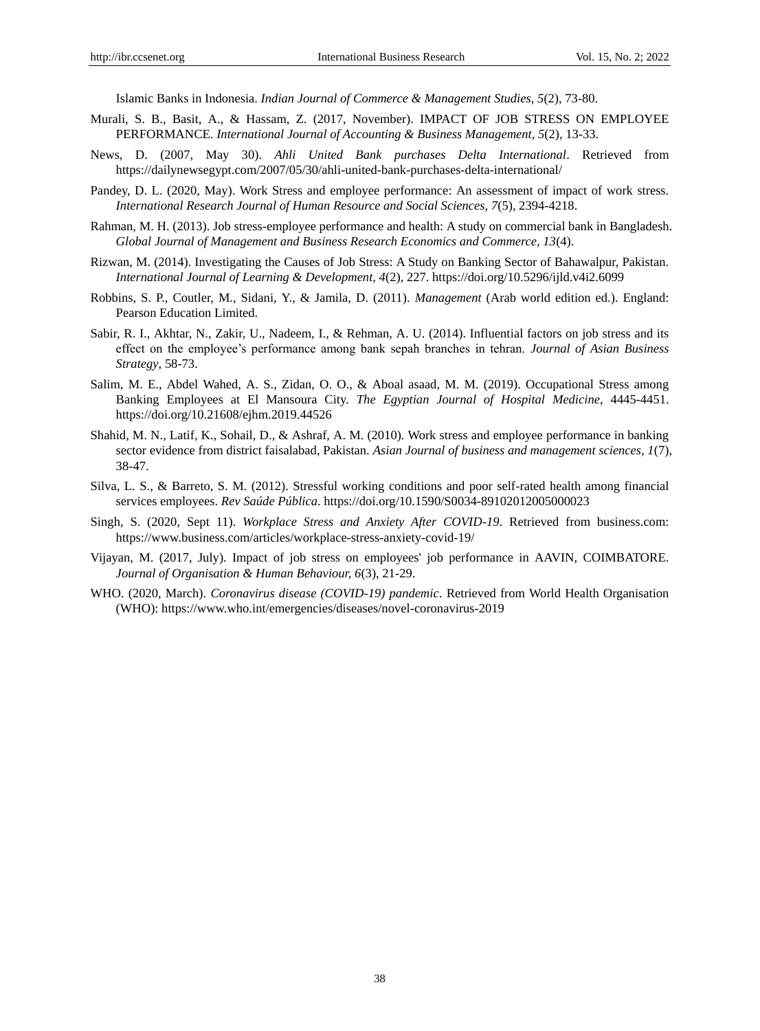Islamic Banks in Indonesia. *Indian Journal of Commerce & Management Studies, 5*(2), 73-80.

- Murali, S. B., Basit, A., & Hassam, Z. (2017, November). IMPACT OF JOB STRESS ON EMPLOYEE PERFORMANCE. *International Journal of Accounting & Business Management, 5*(2), 13-33.
- News, D. (2007, May 30). *Ahli United Bank purchases Delta International*. Retrieved from https://dailynewsegypt.com/2007/05/30/ahli-united-bank-purchases-delta-international/
- Pandey, D. L. (2020, May). Work Stress and employee performance: An assessment of impact of work stress. *International Research Journal of Human Resource and Social Sciences, 7*(5), 2394-4218.
- Rahman, M. H. (2013). Job stress-employee performance and health: A study on commercial bank in Bangladesh. *Global Journal of Management and Business Research Economics and Commerce, 13*(4).
- Rizwan, M. (2014). Investigating the Causes of Job Stress: A Study on Banking Sector of Bahawalpur, Pakistan. *International Journal of Learning & Development, 4*(2), 227. https://doi.org/10.5296/ijld.v4i2.6099
- Robbins, S. P., Coutler, M., Sidani, Y., & Jamila, D. (2011). *Management* (Arab world edition ed.). England: Pearson Education Limited.
- Sabir, R. I., Akhtar, N., Zakir, U., Nadeem, I., & Rehman, A. U. (2014). Influential factors on job stress and its effect on the employee's performance among bank sepah branches in tehran. *Journal of Asian Business Strategy*, 58-73.
- Salim, M. E., Abdel Wahed, A. S., Zidan, O. O., & Aboal asaad, M. M. (2019). Occupational Stress among Banking Employees at El Mansoura City. *The Egyptian Journal of Hospital Medicine*, 4445-4451. https://doi.org/10.21608/ejhm.2019.44526
- Shahid, M. N., Latif, K., Sohail, D., & Ashraf, A. M. (2010). Work stress and employee performance in banking sector evidence from district faisalabad, Pakistan. *Asian Journal of business and management sciences, 1*(7), 38-47.
- Silva, L. S., & Barreto, S. M. (2012). Stressful working conditions and poor self-rated health among financial services employees. *Rev Saúde Pública*. https://doi.org/10.1590/S0034-89102012005000023
- Singh, S. (2020, Sept 11). *Workplace Stress and Anxiety After COVID-19*. Retrieved from business.com: https://www.business.com/articles/workplace-stress-anxiety-covid-19/
- Vijayan, M. (2017, July). Impact of job stress on employees' job performance in AAVIN, COIMBATORE. *Journal of Organisation & Human Behaviour, 6*(3), 21-29.
- WHO. (2020, March). *Coronavirus disease (COVID-19) pandemic*. Retrieved from World Health Organisation (WHO): https://www.who.int/emergencies/diseases/novel-coronavirus-2019